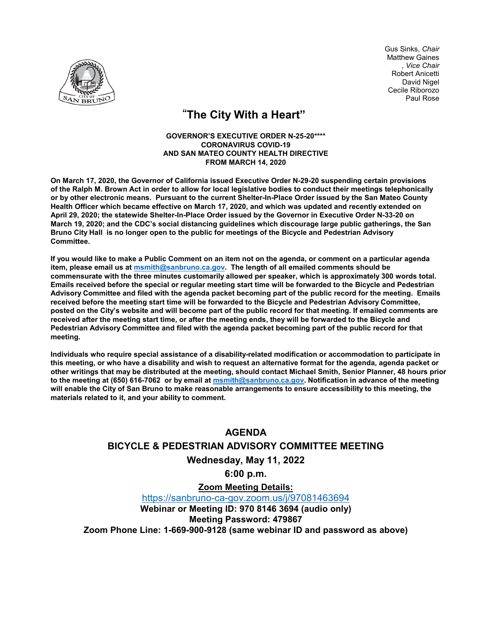

Gus Sinks, *Chair* Matthew Gaines , *Vice Chair* Robert Anicetti David Nigel Cecile Riborozo Paul Rose

## "**The City With a Heart"**

#### **GOVERNOR'S EXECUTIVE ORDER N-25-20\*\*\*\* CORONAVIRUS COVID-19 AND SAN MATEO COUNTY HEALTH DIRECTIVE FROM MARCH 14, 2020**

**On March 17, 2020, the Governor of California issued Executive Order N-29-20 suspending certain provisions of the Ralph M. Brown Act in order to allow for local legislative bodies to conduct their meetings telephonically or by other electronic means. Pursuant to the current Shelter-In-Place Order issued by the San Mateo County Health Officer which became effective on March 17, 2020, and which was updated and recently extended on April 29, 2020; the statewide Shelter-In-Place Order issued by the Governor in Executive Order N-33-20 on March 19, 2020; and the CDC's social distancing guidelines which discourage large public gatherings, the San Bruno City Hall is no longer open to the public for meetings of the Bicycle and Pedestrian Advisory Committee.** 

**If you would like to make a Public Comment on an item not on the agenda, or comment on a particular agenda item, please email us at msmith@sanbruno.ca.gov. The length of all emailed comments should be commensurate with the three minutes customarily allowed per speaker, which is approximately 300 words total. Emails received before the special or regular meeting start time will be forwarded to the Bicycle and Pedestrian Advisory Committee and filed with the agenda packet becoming part of the public record for the meeting. Emails received before the meeting start time will be forwarded to the Bicycle and Pedestrian Advisory Committee, posted on the City's website and will become part of the public record for that meeting. If emailed comments are received after the meeting start time, or after the meeting ends, they will be forwarded to the Bicycle and Pedestrian Advisory Committee and filed with the agenda packet becoming part of the public record for that meeting.** 

**Individuals who require special assistance of a disability-related modification or accommodation to participate in this meeting, or who have a disability and wish to request an alternative format for the agenda, agenda packet or other writings that may be distributed at the meeting, should contact Michael Smith, Senior Planner, 48 hours prior to the meeting at (650) 616-7062 or by email at [msmith@sanbruno.ca.gov](mailto:msmith@sanbruno.ca.gov). Notification in advance of the meeting will enable the City of San Bruno to make reasonable arrangements to ensure accessibility to this meeting, the materials related to it, and your ability to comment.** 

# **AGENDA BICYCLE & PEDESTRIAN ADVISORY COMMITTEE MEETING**

### **Wednesday, May 11, 2022**

**6:00 p.m.**

**Zoom Meeting Details:** <https://sanbruno-ca-gov.zoom.us/j/97081463694> **Webinar or Meeting ID: 970 8146 3694 (audio only) Meeting Password: 479867 Zoom Phone Line: 1-669-900-9128 (same webinar ID and password as above)**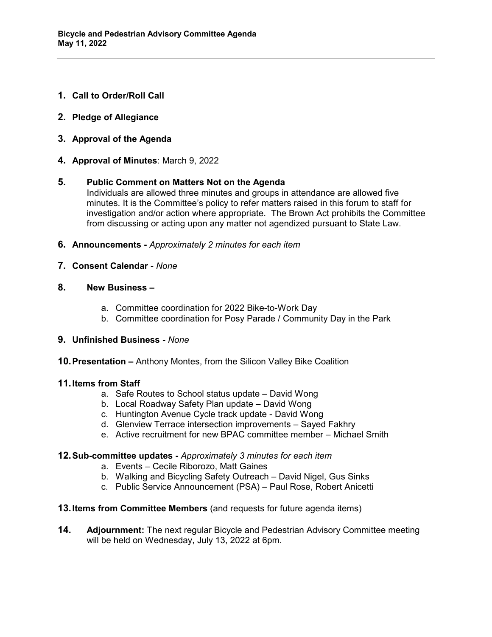- **1. Call to Order/Roll Call**
- **2. Pledge of Allegiance**
- **3. Approval of the Agenda**
- **4. Approval of Minutes**: March 9, 2022

#### **5. Public Comment on Matters Not on the Agenda**

Individuals are allowed three minutes and groups in attendance are allowed five minutes. It is the Committee's policy to refer matters raised in this forum to staff for investigation and/or action where appropriate. The Brown Act prohibits the Committee from discussing or acting upon any matter not agendized pursuant to State Law.

- **6. Announcements** *Approximately 2 minutes for each item*
- **7. Consent Calendar**  *None*
- **8. New Business –**
	- a. Committee coordination for 2022 Bike-to-Work Day
	- b. Committee coordination for Posy Parade / Community Day in the Park

#### **9. Unfinished Business -** *None*

**10.Presentation –** Anthony Montes, from the Silicon Valley Bike Coalition

#### **11.Items from Staff**

- a. Safe Routes to School status update David Wong
- b. Local Roadway Safety Plan update David Wong
- c. Huntington Avenue Cycle track update David Wong
- d. Glenview Terrace intersection improvements Sayed Fakhry
- e. Active recruitment for new BPAC committee member Michael Smith

#### **12.Sub-committee updates -** *Approximately 3 minutes for each item*

- a. Events Cecile Riborozo, Matt Gaines
- b. Walking and Bicycling Safety Outreach David Nigel, Gus Sinks
- c. Public Service Announcement (PSA) Paul Rose, Robert Anicetti
- **13.Items from Committee Members** (and requests for future agenda items)
- **14. Adjournment:** The next regular Bicycle and Pedestrian Advisory Committee meeting will be held on Wednesday, July 13, 2022 at 6pm.